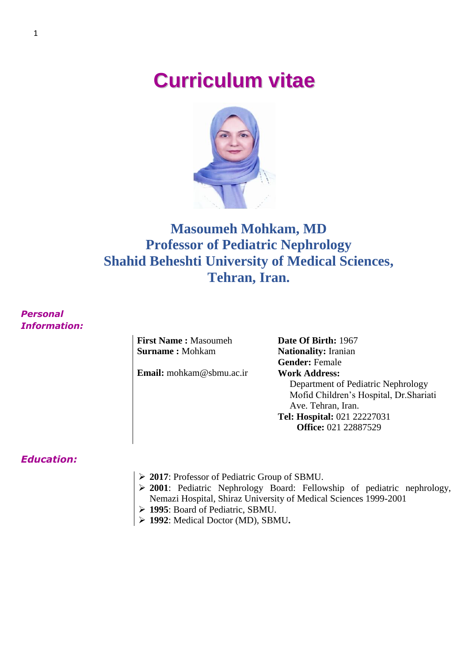# **Curriculum vitae**



# **Masoumeh Mohkam, MD Professor of Pediatric Nephrology Shahid Beheshti University of Medical Sciences, Tehran, Iran.**

*Personal Information:*

> **First Name :** Masoumeh **Surname :** Mohkam

Email: mohkam@sbmu.ac.ir **Work Address:** 

**Date Of Birth:** 1967 **Nationality:** Iranian **Gender:** Female Department of Pediatric Nephrology Mofid Children's Hospital, Dr.Shariati Ave. Tehran, Iran. **Tel: Hospital:** 021 22227031 **Office:** 021 22887529

### *Education:*

- **2017**: Professor of Pediatric Group of SBMU.
- **2001**: Pediatric Nephrology Board: Fellowship of pediatric nephrology, Nemazi Hospital, Shiraz University of Medical Sciences 1999-2001
- **1995**: Board of Pediatric, SBMU.
- **1992**: Medical Doctor (MD), SBMU**.**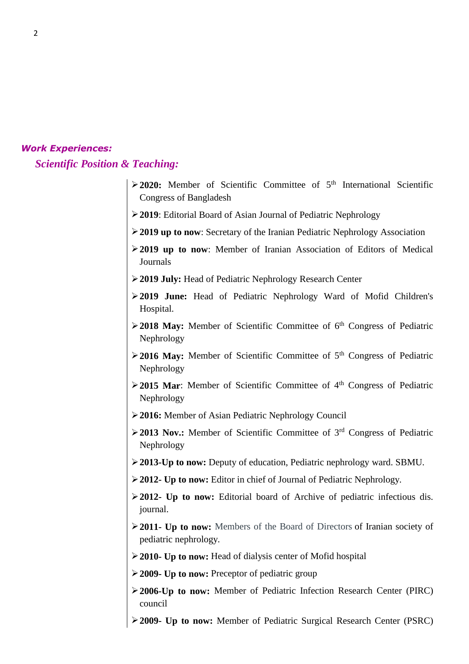#### *Work Experiences:*

*Scientific Position & Teaching:*

- **2020:** Member of Scientific Committee of 5<sup>th</sup> International Scientific Congress of Bangladesh
- **2019**: Editorial Board of Asian Journal of Pediatric Nephrology
- **2019 up to now**: Secretary of the Iranian Pediatric Nephrology Association
- **2019 up to now**: Member of Iranian Association of Editors of Medical Journals
- **2019 July:** Head of Pediatric Nephrology Research Center
- **2019 June:** Head of Pediatric Nephrology Ward of Mofid Children's Hospital.
- **2018 May:** Member of Scientific Committee of 6<sup>th</sup> Congress of Pediatric Nephrology
- **2016 May:** Member of Scientific Committee of 5<sup>th</sup> Congress of Pediatric Nephrology
- **2015 Mar:** Member of Scientific Committee of 4<sup>th</sup> Congress of Pediatric Nephrology
- **2016:** Member of Asian Pediatric Nephrology Council
- **2013 Nov.:** Member of Scientific Committee of 3rd Congress of Pediatric Nephrology
- **2013-Up to now:** Deputy of education, Pediatric nephrology ward. SBMU.
- **2012- Up to now:** Editor in chief of Journal of Pediatric Nephrology.
- **2012- Up to now:** Editorial board of Archive of pediatric infectious dis. journal.
- **2011- Up to now:** Members of the Board of Directors of Iranian society of pediatric nephrology.
- **2010- Up to now:** Head of dialysis center of Mofid hospital
- **2009- Up to now:** Preceptor of pediatric group
- **2006-Up to now:** Member of Pediatric Infection Research Center (PIRC) council
- **2009- Up to now:** Member of Pediatric Surgical Research Center (PSRC)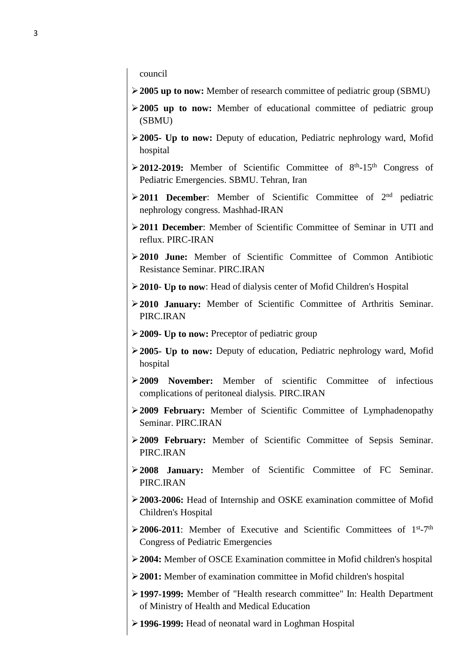council

- **2005 up to now:** Member of research committee of pediatric group (SBMU)
- **2005 up to now:** Member of educational committee of pediatric group (SBMU)
- **2005- Up to now:** Deputy of education, Pediatric nephrology ward, Mofid hospital
- >2012-2019: Member of Scientific Committee of 8<sup>th</sup>-15<sup>th</sup> Congress of Pediatric Emergencies. SBMU. Tehran, Iran
- **2011 December**: Member of Scientific Committee of 2nd pediatric nephrology congress. Mashhad-IRAN
- **2011 December**: Member of Scientific Committee of Seminar in UTI and reflux. PIRC-IRAN
- **2010 June:** Member of Scientific Committee of Common Antibiotic Resistance Seminar. PIRC.IRAN
- **2010 Up to now**: Head of dialysis center of Mofid Children's Hospital
- **2010 January:** Member of Scientific Committee of Arthritis Seminar. PIRC.IRAN
- **2009- Up to now:** Preceptor of pediatric group
- **2005- Up to now:** Deputy of education, Pediatric nephrology ward, Mofid hospital
- **2009 November:** Member of scientific Committee of infectious complications of peritoneal dialysis. PIRC.IRAN
- **2009 February:** Member of Scientific Committee of Lymphadenopathy Seminar. PIRC.IRAN
- **2009 February:** Member of Scientific Committee of Sepsis Seminar. PIRC.IRAN
- **2008 January:** Member of Scientific Committee of FC Seminar. PIRC.IRAN
- **2003-2006:** Head of Internship and OSKE examination committee of Mofid Children's Hospital
- $\geq$  2006-2011: Member of Executive and Scientific Committees of 1<sup>st</sup>-7<sup>th</sup> Congress of Pediatric Emergencies
- **2004:** Member of OSCE Examination committee in Mofid children's hospital
- **2001:** Member of examination committee in Mofid children's hospital
- **1997-1999:** Member of "Health research committee" In: Health Department of Ministry of Health and Medical Education
- **1996-1999:** Head of neonatal ward in Loghman Hospital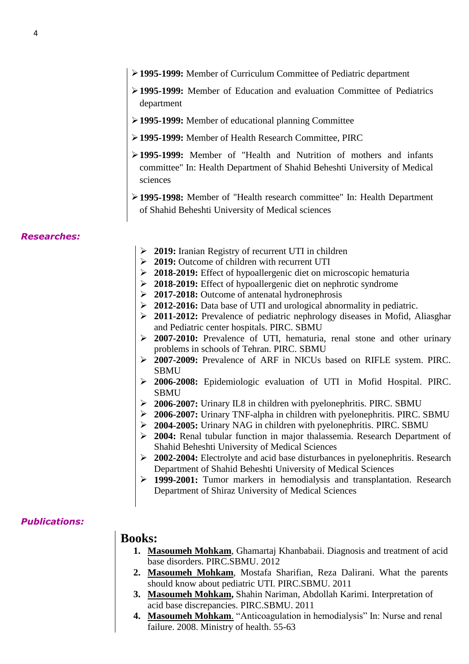- **1995-1999:** Member of Curriculum Committee of Pediatric department
- **1995-1999:** Member of Education and evaluation Committee of Pediatrics department
- **1995-1999:** Member of educational planning Committee
- **1995-1999:** Member of Health Research Committee, PIRC
- **1995-1999:** Member of "Health and Nutrition of mothers and infants committee" In: Health Department of Shahid Beheshti University of Medical sciences
- **1995-1998:** Member of "Health research committee" In: Health Department of Shahid Beheshti University of Medical sciences

#### *Researches:*

- **2019:** Iranian Registry of recurrent UTI in children
- **2019:** Outcome of children with recurrent UTI
- **2018-2019:** Effect of hypoallergenic diet on microscopic hematuria
- **2018-2019:** Effect of hypoallergenic diet on nephrotic syndrome
- **2017-2018:** Outcome of antenatal hydronephrosis
- **2012-2016:** Data base of UTI and urological abnormality in pediatric.
- **2011-2012:** Prevalence of pediatric nephrology diseases in Mofid, Aliasghar and Pediatric center hospitals. PIRC. SBMU
- **2007-2010:** Prevalence of UTI, hematuria, renal stone and other urinary problems in schools of Tehran. PIRC. SBMU
- **2007-2009:** Prevalence of ARF in NICUs based on RIFLE system. PIRC. SBMU
- **2006-2008:** Epidemiologic evaluation of UTI in Mofid Hospital. PIRC. **SBMU**
- **2006-2007:** Urinary IL8 in children with pyelonephritis. PIRC. SBMU
- **2006-2007:** Urinary TNF-alpha in children with pyelonephritis. PIRC. SBMU
- **2004-2005:** Urinary NAG in children with pyelonephritis. PIRC. SBMU
- **2004:** Renal tubular function in major thalassemia. Research Department of Shahid Beheshti University of Medical Sciences
- **2002-2004:** Electrolyte and acid base disturbances in pyelonephritis. Research Department of Shahid Beheshti University of Medical Sciences
- **1999-2001:** Tumor markers in hemodialysis and transplantation. Research Department of Shiraz University of Medical Sciences

#### *Publications:*

# **Books:**

- **1. Masoumeh Mohkam**, Ghamartaj Khanbabaii. Diagnosis and treatment of acid base disorders. PIRC.SBMU. 2012
- **2. Masoumeh Mohkam**, Mostafa Sharifian, Reza Dalirani. What the parents should know about pediatric UTI. PIRC.SBMU. 2011
- **3. Masoumeh Mohkam,** Shahin Nariman, Abdollah Karimi. Interpretation of acid base discrepancies. PIRC.SBMU. 2011
- **4. Masoumeh Mohkam**. "Anticoagulation in hemodialysis" In: Nurse and renal failure. 2008. Ministry of health. 55-63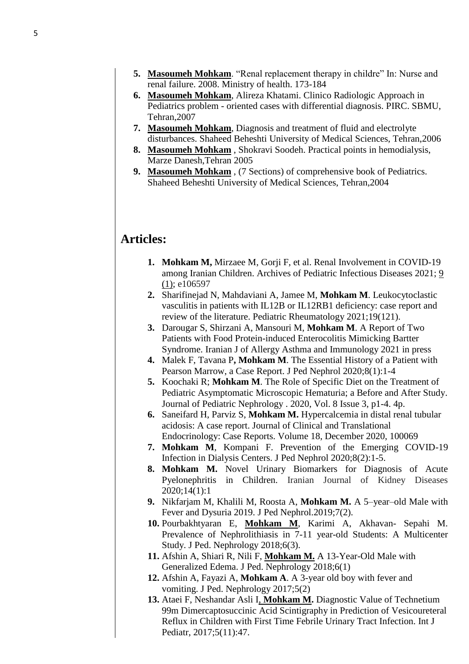- **5. Masoumeh Mohkam**. "Renal replacement therapy in childre" In: Nurse and renal failure. 2008. Ministry of health. 173-184
- **6. Masoumeh Mohkam**, Alireza Khatami. Clinico Radiologic Approach in Pediatrics problem - oriented cases with differential diagnosis. PIRC. SBMU, Tehran,2007
- **7. Masoumeh Mohkam**, Diagnosis and treatment of fluid and electrolyte disturbances. Shaheed Beheshti University of Medical Sciences, Tehran,2006
- **8. Masoumeh Mohkam** , Shokravi Soodeh. Practical points in hemodialysis, Marze Danesh,Tehran 2005
- **9. Masoumeh Mohkam** , (7 Sections) of comprehensive book of Pediatrics. Shaheed Beheshti University of Medical Sciences, Tehran,2004

# **Articles:**

- **1. Mohkam M,** Mirzaee M, Gorji F, et al. Renal Involvement in COVID-19 among Iranian Children. Archives of Pediatric Infectious Diseases 2021; [9](https://sites.kowsarpub.com/apid/issue/3449.html)  [\(1\);](https://sites.kowsarpub.com/apid/issue/3449.html) e106597
- **2.** Sharifinejad N, Mahdaviani A, Jamee M, **Mohkam M**. Leukocytoclastic vasculitis in patients with IL12B or IL12RB1 deficiency: case report and review of the literature. Pediatric Rheumatology 2021;19(121).
- **3.** Darougar S, Shirzani A, Mansouri M, **Mohkam M**. A Report of Two Patients with Food Protein-induced Enterocolitis Mimicking Bartter Syndrome. Iranian J of Allergy Asthma and Immunology 2021 in press
- **4.** Malek F, Tavana P**, Mohkam M**. The Essential History of a Patient with Pearson Marrow, a Case Report. J Ped Nephrol 2020;8(1):1-4
- **5.** Koochaki R; **Mohkam M**. The Role of Specific Diet on the Treatment of Pediatric Asymptomatic Microscopic Hematuria; a Before and After Study. Journal of Pediatric Nephrology . 2020, Vol. 8 Issue 3, p1-4. 4p.
- **6.** Saneifard H, Parviz S, **Mohkam M.** Hypercalcemia in distal renal tubular acidosis: A case report. [Journal of Clinical and Translational](https://www.sciencedirect.com/science/journal/22146245)  [Endocrinology: Case Reports.](https://www.sciencedirect.com/science/journal/22146245) [Volume 18,](https://www.sciencedirect.com/science/journal/22146245/18/supp/C) December 2020, 100069
- **7. Mohkam M**, Kompani F. Prevention of the Emerging COVID-19 Infection in Dialysis Centers. J Ped Nephrol 2020;8(2):1-5.
- **8. Mohkam M.** Novel Urinary Biomarkers for Diagnosis of Acute Pyelonephritis in Children. Iranian Journal of Kidney Diseases 2020;14(1):1
- **9.** Nikfarjam M, Khalili M, Roosta A, **Mohkam M.** A 5–year–old Male with Fever and Dysuria 2019. J Ped Nephrol.2019;7(2).
- **10.** Pourbakhtyaran E, **Mohkam M**, Karimi A, Akhavan- Sepahi M. Prevalence of Nephrolithiasis in 7-11 year-old Students: A Multicenter Study. J Ped. Nephrology 2018;6(3).
- **11.** Afshin A, Shiari R, Nili F, **Mohkam M.** A 13-Year-Old Male with Generalized Edema. J Ped. Nephrology 2018;6(1)
- **12.** Afshin A, Fayazi A, **Mohkam A**. A 3-year old boy with fever and vomiting. J Ped. Nephrology 2017;5(2)
- **13.** Ataei F, Neshandar Asli I, **Mohkam M.** Diagnostic Value of Technetium 99m Dimercaptosuccinic Acid Scintigraphy in Prediction of Vesicoureteral Reflux in Children with First Time Febrile Urinary Tract Infection. Int J Pediatr, 2017;5(11):47.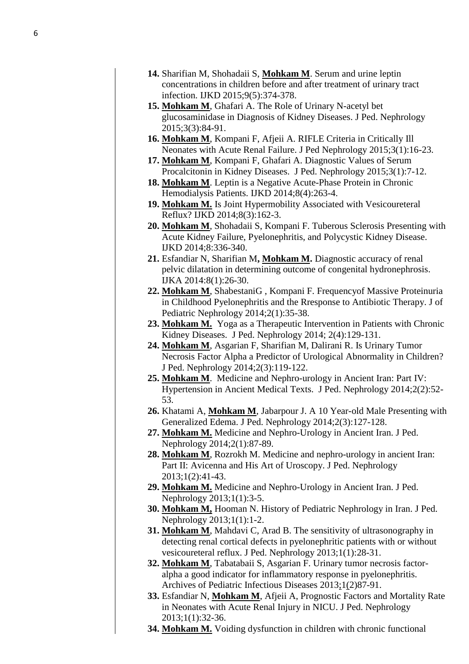- **14 .** Sharifian M, Shohadaii S, **Mohkam M**. Serum and urine leptin concentrations in children before and after treatment of urinary tract infection. IJKD 2015;9(5):374 -378.
- **15 . Mohkam M**, Ghafari A. The Role of Urinary N -acetyl bet glucosaminidase in Diagnosis of Kidney Diseases. J Ped. Nephrology 2015;3(3):84 -91.
- **16 . Mohkam M**, Kompani F, Afjeii A. RIFLE Criteria in Critically Ill Neonates with Acute Renal Failure. J Ped Nephrology 2015;3(1):16 -23.
- **17 . Mohkam M**, Kompani F, Ghafari A. Diagnostic Values of Serum Procalcitonin in Kidney Diseases. J Ped. Nephrology 2015;3(1):7 -12.
- 18. Mohkam M. Leptin is a Negative Acute-Phase Protein in Chronic Hemodialysis Patients. IJKD 2014;8(4):263 -4.
- **19 . Mohkam M.** Is Joint Hypermobility Associated with Vesicoureteral Reflux? IJKD 2014;8(3):162 -3.
- **20 . Mohkam M**, Shohadaii S, Kompani F. Tuberous Sclerosis Presenting with Acute Kidney Failure, Pyelonephritis, and Polycystic Kidney Disease. IJKD 2014;8:336 -340.
- **21 .** Esfandiar N, Sharifian M**, Mohkam M.** Diagnostic accuracy of renal pelvic dilatation in determining outcome of congenital hydronephrosis. IJKA 2014:8(1):26 -30.
- **22 . Mohkam M**, ShabestaniG , Kompani F. Frequencyof Massive Proteinuria in Childhood Pyelonephritis and the Rresponse to Antibiotic Therapy. J of Pediatric Nephrology 2014;2(1):35 -38.
- **23 . Mohkam M.** Yoga as a Therapeutic Intervention in Patients with Chronic Kidney Diseases. J Ped. Nephrology 2014; 2(4):129-131.
- **24 . Mohkam M**, Asgarian F, Sharifian M, Dalirani R. Is Urinary Tumor Necrosis Factor Alpha a Predictor of Urological Abnormality in Children? J Ped. Nephrology 2014;2(3):119 -122.
- 25. Mohkam M. Medicine and Nephro-urology in Ancient Iran: Part IV: Hypertension in Ancient Medical Texts. J Ped. Nephrology 2014;2(2):52 - 53.
- 26. Khatami A, Mohkam M, Jabarpour J. A 10 Year-old Male Presenting with Generalized Edema. J Ped. Nephrology 2014;2(3):127 -128.
- **27 . Mohkam M.** Medicine and Nephro -Urology in Ancient Iran. J Ped. Nephrology 2014;2(1):87 -89.
- 28. Mohkam M, Rozrokh M. Medicine and nephro-urology in ancient Iran: Part II: Avicenna and His Art of Uroscopy. J Ped. Nephrology 2013;1(2):41 -43.
- **29 . Mohkam M.** Medicine and Nephro -Urology in Ancient Iran. J Ped. Nephrology 2013;1(1):3 -5.
- **30 . Mohkam M,** Hooman N. History of Pediatric Nephrology in Iran. J Ped. Nephrology 2013;1(1):1 -2.
- **31 . Mohkam M**, Mahdavi C, Arad B. The sensitivity of ultrasonography in detecting renal cortical defects in pyelonephritic patients with or without vesicoureteral reflux. J Ped. Nephrology 2013;1(1):28 -31.
- **32 . Mohkam M**, Tabatabaii S, Asgarian F. Urinary tumor necrosis factor alpha a good indicator for inflammatory response in pyelonephritis. [Archives of Pediatric Infectious Diseases](http://en.journals.sid.ir/JournalList.aspx?ID=17896) [2013](http://en.journals.sid.ir/JournalListPaper.aspx?ID=131731);1(2)87-91.
- **33 .** Esfandiar N, **Mohkam M**, Afjeii A, Prognostic Factors and Mortality Rate in Neonates with Acute Renal Injury in NICU. J Ped. Nephrology 2013;1(1):32 -36.
- **34 . Mohkam M.** Voiding dysfunction in children with chronic functional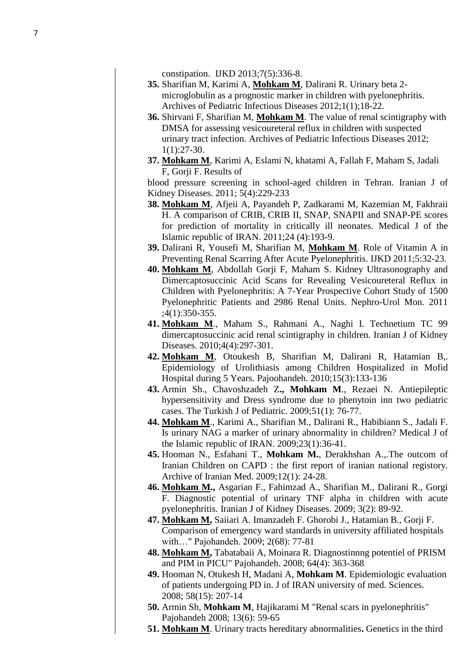constipation. IJKD 2013;7(5):336 -8.

- **35 .** Sharifian M, Karimi A, **Mohkam M**, Dalirani R. Urinary beta 2 microglobulin as a prognostic marker in children with pyelonephritis. [Archives of Pediatric Infectious Diseases](http://en.journals.sid.ir/JournalList.aspx?ID=17896) [2012;1\(1\)](http://en.journals.sid.ir/JournalListPaper.aspx?ID=121067);18 -22.
- **36 .** Shirvani F, Sharifian M, **Mohkam M**. The value of renal scintigraphy with DMSA for assessing vesicoureteral reflux in children with suspected urinary tract infection. [Archives of Pediatric Infectious Diseases](http://en.journals.sid.ir/JournalList.aspx?ID=17896) 2012; 1(1):27 -30.
- **37 . Mohkam M**, Karimi A, Eslami N, khatami A, Fallah F, Maham S, Jadali F, Gorji F. Results of

blood pressure screening in school -aged children in Tehran. Iranian J of Kidney Diseases. 2011; 5(4):229 -233

- **38 . Mohkam M**, Afjeii A, Payandeh P, Zadkarami M, Kazemian M, Fakhraii H. A comparison of CRIB, CRIB II, SNAP, SNAPII and SNAP -PE scores for prediction of mortality in critically ill neonates. Medical J of the Islamic republic of IRAN. 2011;24 (4):193 -9.
- **39 .** Dalirani R, Yousefi M, Sharifian M, **Mohkam M**. Role of Vitamin A in Preventing Renal Scarring After Acute Pyelonephritis. IJKD 2011;5:32 -23.
- **40 . Mohkam M**, Abdollah Gorji F, Maham S. Kidney Ultrasonography and Dimercaptosuccinic Acid Scans for Revealing Vesicoureteral Reflux in Children with Pyelonephritis: A 7 -Year Prospective Cohort Study of 1500 Pyelonephritic Patients and 2986 Renal Units. Nephro -Urol Mon. 2011 ;4(1):350 -355.
- **41 . Mohkam M**., Maham S., Rahmani A., Naghi I. Technetium TC 99 dimercaptosuccinic acid renal scintigraphy in children. Iranian J of Kidney Diseases. 2010;4(4):297 -301.
- **42 . [Mohkam](http://www.pajoohande.com/search.php?slc_lang=en&sid=1&auth=Masoumeh+Mohkam) M**, [Otoukesh](http://www.pajoohande.com/search.php?slc_lang=en&sid=1&auth=Babak+Otoukesh) B, [Sharifian](http://www.pajoohande.com/search.php?slc_lang=en&sid=1&auth=Mostafa+Sharifian) M, [Dalirani](http://www.pajoohande.com/search.php?slc_lang=en&sid=1&auth=Reza+Dalirani) R, [Hatamian](http://www.pajoohande.com/search.php?slc_lang=en&sid=1&auth=Bijan+Hatamian) B,. Epidemiology of Urolithiasis among Children Hospitalized in Mofid Hospital during 5 Years. Pajoohandeh. 2010;15(3):133 -136
- **43 .** Armin Sh., Chavoshzadeh Z**., Mohkam M**., Rezaei N. Antiepileptic hypersensitivity and Dress syndrome due to phenytoin inn two pediatric cases. The Turkish J of Pediatric. 2009;51(1): 76 -77.
- **44 . Mohkam M**., Karimi A., Sharifian M., Dalirani R., Habibiann S., Jadali F. Is urinary NAG a marker of urinary abnormality in children? Medical J of the Islamic republic of IRAN. 2009;23(1):36 -41.
- **45 .** Hooman N., Esfahani T., **Mohkam M.**, Derakhshan A.,.The outcom of Iranian Children on CAPD : the first report of iranian national registory. Archive of Iranian Med. 2009;12(1): 24 -28.
- **46 . Mohkam M.,** Asgarian F., Fahimzad A., Sharifian M., Dalirani R., Gorgi F. Diagnostic potential of urinary TNF alpha in children with acute pyelonephritis. Iranian J of Kidney Diseases. 2009; 3(2): 89 -92.
- **47 . Mohkam M ,** Saiiari A. Imanzadeh F. Ghorobi J., Hatamian B., Gorji F. Comparison of emergency ward standards in university affiliated hospitals with…" Pajohandeh. 2009; 2(68): 77 -81
- **48 . Mohkam M ,** Tabatabaii A, Moinara R. Diagnostinnng potentiel of PRISM and PIM in PICU" Pajohandeh. 2008; 64(4): 363 -368
- **49 .** Hooman N, Otukesh H, Madani A, **Mohkam M**. Epidemiologic evaluation of patients undergoing PD in. J of IRAN university of med. Sciences. 2008; 58(15): 207 -14
- **50 .** Armin Sh, **Mohkam M**, Hajikarami M "Renal scars in pyelonephritis" Pajohandeh 2008; 13(6): 59 -65
- **51 . Mohkam M**. [Urinary tracts hereditary abnormalities](http://www.g3m.ir/browse.php?a_code=A-10-3-30&slc_lang=en&sid=1&ftxt=1) **.** Genetics in the third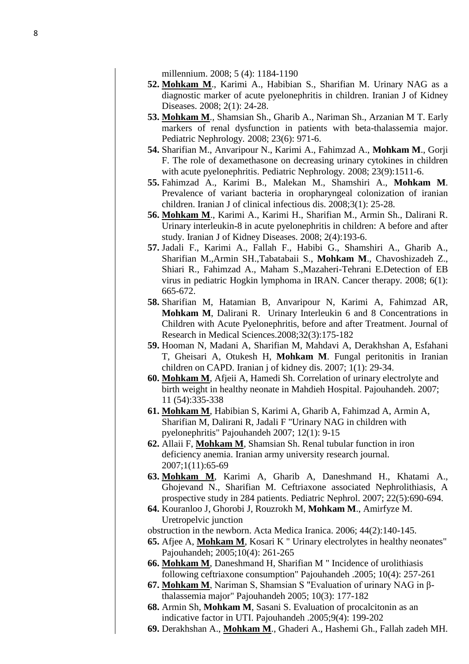millennium. 2008; 5 (4): 1184-1190

- **52. Mohkam M**., Karimi A., Habibian S., Sharifian M. Urinary NAG as a diagnostic marker of acute pyelonephritis in children. Iranian J of Kidney Diseases. 2008; 2(1): 24-28.
- **53. Mohkam M**., Shamsian Sh., Gharib A., Nariman Sh., Arzanian M T. Early markers of renal dysfunction in patients with beta-thalassemia major. Pediatric Nephrology. 2008; 23(6): 971-6.
- **54.** Sharifian M., Anvaripour N., Karimi A., Fahimzad A., **Mohkam M**., Gorji F. The role of dexamethasone on decreasing urinary cytokines in children with acute pyelonephritis. Pediatric Nephrology. 2008; 23(9):1511-6.
- **55.** Fahimzad A., Karimi B., Malekan M., Shamshiri A., **Mohkam M**. Prevalence of variant bacteria in oropharyngeal colonization of iranian children. Iranian J of clinical infectious dis. 2008;3(1): 25-28.
- **56. Mohkam M**., Karimi A., Karimi H., Sharifian M., Armin Sh., Dalirani R. Urinary interleukin-8 in acute pyelonephritis in children: A before and after study. Iranian J of Kidney Diseases. 2008; 2(4):193-6.
- **57.** Jadali F., Karimi A., Fallah F., Habibi G., Shamshiri A., Gharib A., Sharifian M.,Armin SH.,Tabatabaii S., **Mohkam M**., Chavoshizadeh Z., Shiari R., Fahimzad A., Maham S.,Mazaheri-Tehrani E.Detection of EB virus in pediatric Hogkin lymphoma in IRAN. Cancer therapy. 2008; 6(1): 665-672.
- **58.** Sharifian M, [Hatamian B,](http://www.pejouhesh.com/search.php?slc_lang=en&sid=1&auth=Hatamian+B) [Anvaripour N,](http://www.pejouhesh.com/search.php?slc_lang=en&sid=1&auth=Anvaripour+N) [Karimi A,](http://www.pejouhesh.com/search.php?slc_lang=en&sid=1&auth=Karimi+A) [Fahimzad AR,](http://www.pejouhesh.com/search.php?slc_lang=en&sid=1&auth=Fahimzad+AR) **[Mohkam M](http://www.pejouhesh.com/search.php?slc_lang=en&sid=1&auth=Mohkam+M)**, [Dalirani R.](http://www.pejouhesh.com/search.php?slc_lang=en&sid=1&auth=Dalirani+R) [Urinary Interleukin 6 and 8 Concentrations in](http://www.pejouhesh.com/browse.php?a_code=A-10-1-417&slc_lang=en&sid=1&ftxt=1)  [Children with Acute Pyelonephritis, before and after Treatment.](http://www.pejouhesh.com/browse.php?a_code=A-10-1-417&slc_lang=en&sid=1&ftxt=1) Journal of Research in Medical Sciences.2008;32(3):175-182
- **59.** Hooman N, Madani A, Sharifian M, Mahdavi A, Derakhshan A, Esfahani T, Gheisari A, Otukesh H, **Mohkam M**. Fungal peritonitis in Iranian children on CAPD. Iranian j of kidney dis. 2007; 1(1): 29-34.
- **60. Mohkam M**, Afjeii A, Hamedi Sh. Correlation of urinary electrolyte and birth weight in healthy neonate in Mahdieh Hospital. Pajouhandeh. 2007; 11 (54):335-338
- **61. Mohkam M**, Habibian S, Karimi A, Gharib A, Fahimzad A, Armin A, Sharifian M, Dalirani R, Jadali F "Urinary NAG in children with pyelonephritis" Pajouhandeh 2007; 12(1): 9-15
- **62.** Allaii F, **Mohkam M**, Shamsian Sh. Renal tubular function in iron deficiency anemia. Iranian army university research journal. 2007;1(11):65-69
- **63. Mohkam M**, Karimi A, Gharib A, Daneshmand H., Khatami A., Ghojevand N., Sharifian M. Ceftriaxone associated Nephrolithiasis, A prospective study in 284 patients. Pediatric Nephrol. 2007; 22(5):690-694.
- **64.** Kouranloo J, Ghorobi J, Rouzrokh M, **Mohkam M**., Amirfyze M. Uretropelvic junction
- obstruction in the newborn. Acta Medica Iranica. 2006; 44(2):140-145.
- **65.** Afjee A, **Mohkam M**, Kosari K " Urinary electrolytes in healthy neonates" Pajouhandeh; 2005;10(4): 261-265
- **66. Mohkam M**, Daneshmand H, Sharifian M " Incidence of urolithiasis following ceftriaxone consumption" Pajouhandeh .2005; 10(4): 257-261
- **67. Mohkam M**, Nariman S, Shamsian S "Evaluation of urinary NAG in βthalassemia major" Pajouhandeh 2005; 10(3): 177-182
- **68.** Armin Sh, **Mohkam M**, Sasani S. Evaluation of procalcitonin as an indicative factor in UTI. Pajouhandeh .2005;9(4): 199-202
- **69.** Derakhshan A., **Mohkam M**., Ghaderi A., Hashemi Gh., Fallah zadeh MH.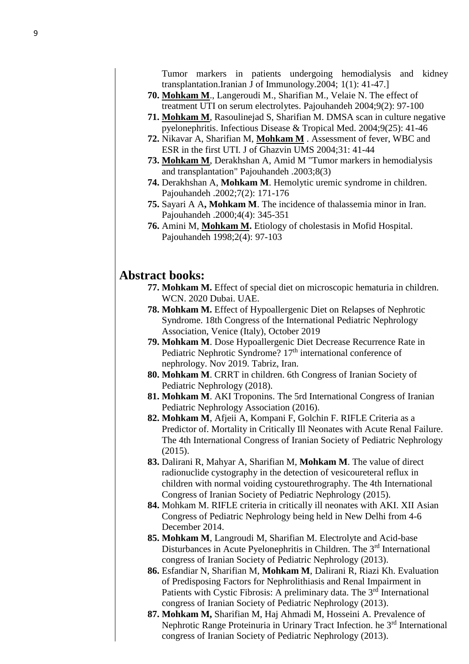Tumor markers in patients undergoing hemodialysis and kidney transplantation.Iranian J of Immunology.2004; 1(1): 41-47.]

- **70. Mohkam M**., Langeroudi M., Sharifian M., Velaie N. The effect of treatment UTI on serum electrolytes. Pajouhandeh 2004;9(2): 97-100
- **71. Mohkam M**, Rasoulinejad S, Sharifian M. DMSA scan in culture negative pyelonephritis. Infectious Disease & Tropical Med. 2004;9(25): 41-46
- **72.** Nikavar A, Sharifian M, **Mohkam M** . Assessment of fever, WBC and ESR in the first UTI. J of Ghazvin UMS 2004;31: 41-44
- **73. Mohkam M**, Derakhshan A, Amid M "Tumor markers in hemodialysis and transplantation" Pajouhandeh .2003;8(3)
- **74.** Derakhshan A, **Mohkam M**. Hemolytic uremic syndrome in children. Pajouhandeh .2002;7(2): 171-176
- **75.** Sayari A A**, Mohkam M**. The incidence of thalassemia minor in Iran. Pajouhandeh .2000;4(4): 345-351
- **76.** Amini M, **Mohkam M.** Etiology of cholestasis in Mofid Hospital. Pajouhandeh 1998;2(4): 97-103

# **Abstract books:**

- **77. Mohkam M.** Effect of special diet on microscopic hematuria in children. WCN. 2020 Dubai. UAE.
- **78. Mohkam M.** Effect of Hypoallergenic Diet on Relapses of Nephrotic Syndrome. 18th Congress of the International Pediatric Nephrology Association, Venice (Italy), October 2019
- **79. Mohkam M**. Dose Hypoallergenic Diet Decrease Recurrence Rate in Pediatric Nephrotic Syndrome? 17<sup>th</sup> international conference of nephrology. Nov 2019. Tabriz, Iran.
- **80. Mohkam M**. CRRT in children. 6th Congress of Iranian Society of Pediatric Nephrology (2018).
- **81. Mohkam M**. AKI Troponins. The 5rd International Congress of Iranian Pediatric Nephrology Association (2016).
- **82. Mohkam M**, Afjeii A, Kompani F, Golchin F. RIFLE Criteria as a Predictor of. Mortality in Critically Ill Neonates with Acute Renal Failure. The 4th International Congress of Iranian Society of Pediatric Nephrology (2015).
- **83.** Dalirani R, Mahyar A, Sharifian M, **Mohkam M**. The value of direct radionuclide cystography in the detection of vesicoureteral reflux in children with normal voiding cystourethrography. The 4th International Congress of Iranian Society of Pediatric Nephrology (2015).
- **84.** Mohkam M. RIFLE criteria in critically ill neonates with AKI. XII Asian Congress of Pediatric Nephrology being held in New Delhi from 4-6 December 2014.
- **85. Mohkam M**, Langroudi M, Sharifian M. Electrolyte and Acid-base Disturbances in Acute Pyelonephritis in Children. The 3<sup>rd</sup> International congress of Iranian Society of Pediatric Nephrology (2013).
- **86.** Esfandiar N, Sharifian M, **Mohkam M**, Dalirani R, Riazi Kh. Evaluation of Predisposing Factors for Nephrolithiasis and Renal Impairment in Patients with Cystic Fibrosis: A preliminary data. The 3<sup>rd</sup> International congress of Iranian Society of Pediatric Nephrology (2013).
- **87. Mohkam M,** Sharifian M, Haj Ahmadi M, Hosseini A. Prevalence of Nephrotic Range Proteinuria in Urinary Tract Infection. he 3rd International congress of Iranian Society of Pediatric Nephrology (2013).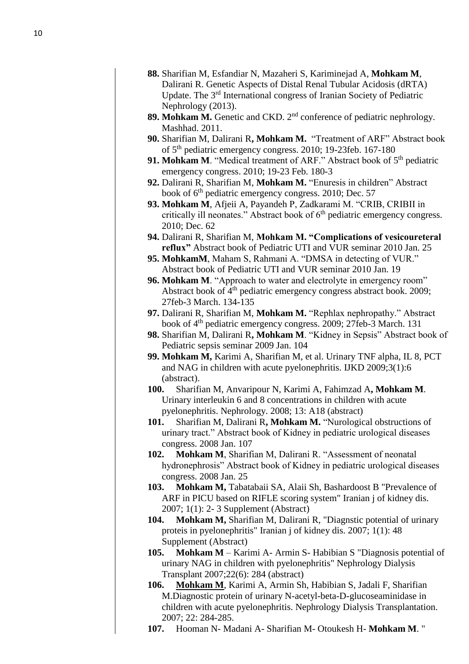- **88 .** Sharifian M, Esfandiar N, Mazaheri S, Kariminejad A, **Mohkam M**, Dalirani R. Genetic Aspects of Distal Renal Tubular Acidosis (dRTA) Update. The 3rd International congress of Iranian Society of Pediatric Nephrology (2013).
- **89 . Mohkam M.** Genetic and CKD. 2nd conference of pediatric nephrology. Mashhad. 2011.
- **90 .** Sharifian M, Dalirani R**, Mohkam M.** "Treatment of ARF" Abstract book of 5<sup>th</sup> pediatric emergency congress. 2010; 19-23feb. 167-180
- **91. Mohkam M.** "Medical treatment of ARF." Abstract book of 5<sup>th</sup> pediatric emergency congress. 2010; 19-23 Feb. 180-3
- **92 .** Dalirani R, Sharifian M, **Mohkam M.** "Enuresis in children" Abstract book of  $6<sup>th</sup>$  pediatric emergency congress. 2010; Dec. 57
- **93 . Mohkam M**, Afjeii A, Payandeh P, Zadkarami M. "CRIB, CRIBII in critically ill neonates." Abstract book of  $6<sup>th</sup>$  pediatric emergency congress. 2010; Dec. 62
- **94 .** Dalirani R, Sharifian M, **Mohkam M. "Complications of vesicoureteral reflux"** Abstract book of Pediatric UTI and VUR seminar 2010 Jan. 25
- **95 . MohkamM**, Maham S, Rahmani A. "DMSA in detecting of VUR." Abstract book of Pediatric UTI and VUR seminar 2010 Jan. 19
- **96 . Mohkam M**. "Approach to water and electrolyte in emergency room" Abstract book of  $4<sup>th</sup>$  pediatric emergency congress abstract book. 2009; 27feb -3 March. 134 -135
- **97 .** Dalirani R, Sharifian M, **Mohkam M.** "Rephlax nephropathy." Abstract book of 4<sup>th</sup> pediatric emergency congress. 2009; 27feb-3 March. 131
- **98 .** Sharifian M, Dalirani R**, Mohkam M**. "Kidney in Sepsis" Abstract book of Pediatric sepsis seminar 2009 Jan. 104
- **99 . Mohkam M,** Karimi A, Sharifian M, et al. Urinary TNF alpha, IL 8, PCT and NAG in children with acute pyelonephritis. IJKD 2009;3(1):6 (abstract).
- **100 .** Sharifian M, Anvaripour N, Karimi A, Fahimzad A**, Mohkam M**. Urinary interleukin 6 and 8 concentrations in children with acute pyelonephritis. Nephrology. 2008; 13: A18 (abstract)
- **101 .** Sharifian M, Dalirani R**, Mohkam M.** "Nurological obstructions of urinary tract." Abstract book of Kidney in pediatric urological diseases congress. 2008 Jan. 107
- **102 . Mohkam M**, Sharifian M, Dalirani R. "Assessment of neonatal hydronephrosis" Abstract book of Kidney in pediatric urological diseases congress. 2008 Jan. 25
- **103 . Mohkam M,** Tabatabaii SA, Alaii Sh, Bashardoost B "Prevalence of ARF in PICU based on RIFLE scoring system" Iranian j of kidney dis. 2007; 1(1): 2 - 3 Supplement (Abstract)
- **104 . Mohkam M,** Sharifian M, Dalirani R, "Diagnstic potential of urinary proteis in pyelonephritis" Iranian j of kidney dis. 2007; 1(1): 48 Supplement (Abstract)
- **105 . Mohkam M** – Karimi A - Armin S - Habibian S "Diagnosis potential of urinary NAG in children with pyelonephritis" Nephrology Dialysis Transplant 2007;22(6): 284 (abstract)
- **106 . Mohkam M**, Karimi A, Armin Sh, Habibian S, Jadali F, Sharifian M.Diagnostic protein of urinary N -acetyl -beta - D -glucoseaminidase in children with acute pyelonephritis. Nephrology Dialysis Transplantation. 2007; 22: 284 -285.
- **107** . Hooman N- Madani A- Sharifian M- Otoukesh H- Mohkam M."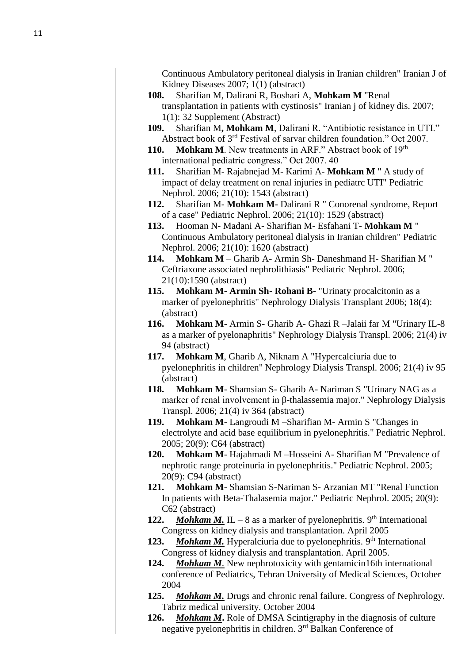Continuous Ambulatory peritoneal dialysis in Iranian children" Iranian J of Kidney Diseases 2007; 1(1) (abstract)

- **108.** Sharifian M, Dalirani R, Boshari A, **Mohkam M** "Renal transplantation in patients with cystinosis" Iranian j of kidney dis. 2007; 1(1): 32 Supplement (Abstract)
- **109.** Sharifian M**, Mohkam M**, Dalirani R. "Antibiotic resistance in UTI." Abstract book of 3rd Festival of sarvar children foundation." Oct 2007.
- **110. Mohkam M**. New treatments in ARF." Abstract book of 19<sup>th</sup> international pediatric congress." Oct 2007. 40
- **111.** Sharifian M- Rajabnejad M- Karimi A- **Mohkam M** " A study of impact of delay treatment on renal injuries in pediatrc UTI" Pediatric Nephrol. 2006; 21(10): 1543 (abstract)
- **112.** Sharifian M- **Mohkam M-** Dalirani R " Conorenal syndrome, Report of a case" Pediatric Nephrol. 2006; 21(10): 1529 (abstract)
- **113.** Hooman N- Madani A- Sharifian M- Esfahani T- **Mohkam M** " Continuous Ambulatory peritoneal dialysis in Iranian children" Pediatric Nephrol. 2006; 21(10): 1620 (abstract)
- **114. Mohkam M**  Gharib A- Armin Sh- Daneshmand H- Sharifian M " Ceftriaxone associated nephrolithiasis" Pediatric Nephrol. 2006; 21(10):1590 (abstract)
- **115. Mohkam M- Armin Sh- Rohani B-** "Urinaty procalcitonin as a marker of pyelonephritis" Nephrology Dialysis Transplant 2006; 18(4): (abstract)
- **116. Mohkam M** Armin S- Gharib A- Ghazi R –Jalaii far M "Urinary IL-8 as a marker of pyelonaphritis" Nephrology Dialysis Transpl. 2006; 21(4) iv 94 (abstract)
- **117. Mohkam M**, Gharib A, Niknam A "Hypercalciuria due to pyelonephritis in children" Nephrology Dialysis Transpl. 2006; 21(4) iv 95 (abstract)
- **118. Mohkam M** Shamsian S- Gharib A- Nariman S "Urinary NAG as a marker of renal involvement in β-thalassemia major." Nephrology Dialysis Transpl. 2006; 21(4) iv 364 (abstract)
- **119. Mohkam M** Langroudi M –Sharifian M- Armin S "Changes in electrolyte and acid base equilibrium in pyelonephritis." Pediatric Nephrol. 2005; 20(9): C64 (abstract)
- **120. Mohkam M** Hajahmadi M –Hosseini A- Sharifian M "Prevalence of nephrotic range proteinuria in pyelonephritis." Pediatric Nephrol. 2005; 20(9): C94 (abstract)
- **121. Mohkam M** Shamsian S-Nariman S- Arzanian MT "Renal Function In patients with Beta-Thalasemia major." Pediatric Nephrol. 2005; 20(9): C62 (abstract)
- 122. **Mohkam M.** IL 8 as a marker of pyelonephritis.  $9<sup>th</sup>$  International Congress on kidney dialysis and transplantation. April 2005
- 123. Mohkam M. Hyperalciuria due to pyelonephritis. 9<sup>th</sup> International Congress of kidney dialysis and transplantation. April 2005.
- **124.** *Mohkam M.* New nephrotoxicity with gentamicin16th international conference of Pediatrics, Tehran University of Medical Sciences, October 2004
- **125.** *Mohkam M.* Drugs and chronic renal failure. Congress of Nephrology. Tabriz medical university. October 2004
- **126.** *Mohkam M***.** Role of DMSA Scintigraphy in the diagnosis of culture negative pyelonephritis in children. 3rd Balkan Conference of